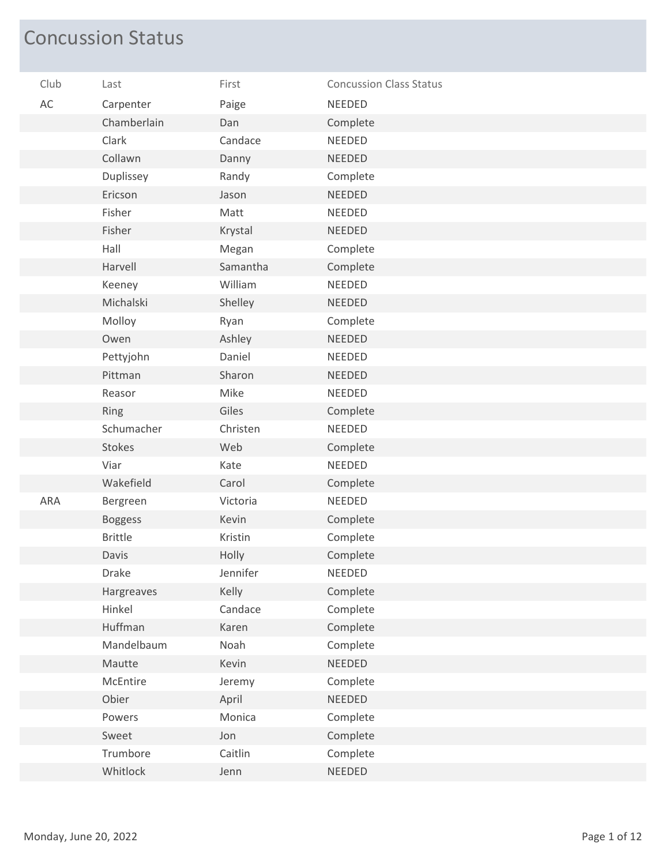## Concussion Status

| Club | Last           | First    | <b>Concussion Class Status</b> |
|------|----------------|----------|--------------------------------|
| AC   | Carpenter      | Paige    | <b>NEEDED</b>                  |
|      | Chamberlain    | Dan      | Complete                       |
|      | Clark          | Candace  | <b>NEEDED</b>                  |
|      | Collawn        | Danny    | <b>NEEDED</b>                  |
|      | Duplissey      | Randy    | Complete                       |
|      | Ericson        | Jason    | <b>NEEDED</b>                  |
|      | Fisher         | Matt     | <b>NEEDED</b>                  |
|      | Fisher         | Krystal  | <b>NEEDED</b>                  |
|      | Hall           | Megan    | Complete                       |
|      | Harvell        | Samantha | Complete                       |
|      | Keeney         | William  | <b>NEEDED</b>                  |
|      | Michalski      | Shelley  | <b>NEEDED</b>                  |
|      | Molloy         | Ryan     | Complete                       |
|      | Owen           | Ashley   | <b>NEEDED</b>                  |
|      | Pettyjohn      | Daniel   | NEEDED                         |
|      | Pittman        | Sharon   | <b>NEEDED</b>                  |
|      | Reasor         | Mike     | <b>NEEDED</b>                  |
|      | Ring           | Giles    | Complete                       |
|      | Schumacher     | Christen | <b>NEEDED</b>                  |
|      | <b>Stokes</b>  | Web      | Complete                       |
|      | Viar           | Kate     | NEEDED                         |
|      | Wakefield      | Carol    | Complete                       |
| ARA  | Bergreen       | Victoria | <b>NEEDED</b>                  |
|      | <b>Boggess</b> | Kevin    | Complete                       |
|      | <b>Brittle</b> | Kristin  | Complete                       |
|      | Davis          | Holly    | Complete                       |
|      | Drake          | Jennifer | <b>NEEDED</b>                  |
|      | Hargreaves     | Kelly    | Complete                       |
|      | Hinkel         | Candace  | Complete                       |
|      | Huffman        | Karen    | Complete                       |
|      | Mandelbaum     | Noah     | Complete                       |
|      | Mautte         | Kevin    | NEEDED                         |
|      | McEntire       | Jeremy   | Complete                       |
|      | Obier          | April    | <b>NEEDED</b>                  |
|      | Powers         | Monica   | Complete                       |
|      | Sweet          | Jon      | Complete                       |
|      | Trumbore       | Caitlin  | Complete                       |
|      | Whitlock       | Jenn     | NEEDED                         |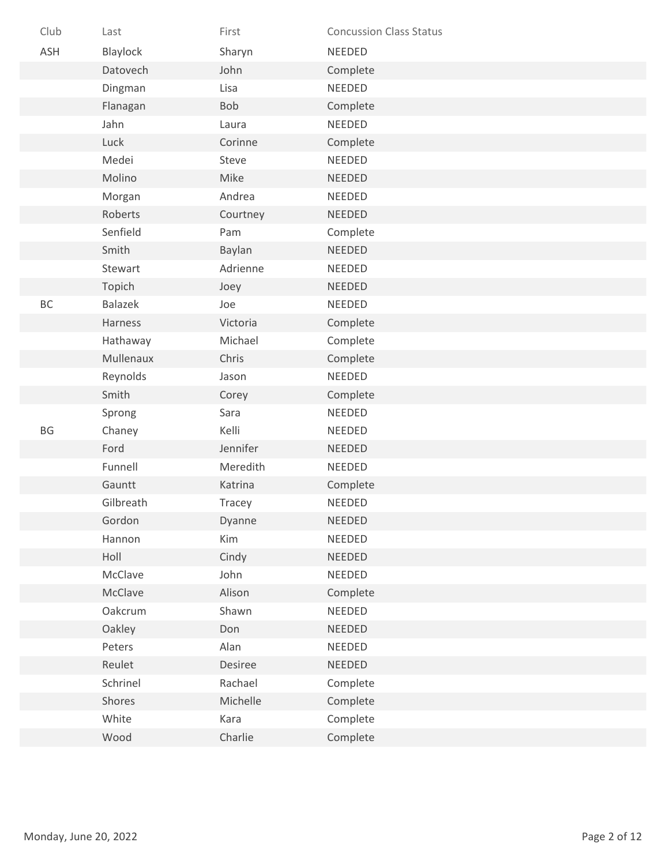| Club | Last      | First    | <b>Concussion Class Status</b> |
|------|-----------|----------|--------------------------------|
| ASH  | Blaylock  | Sharyn   | NEEDED                         |
|      | Datovech  | John     | Complete                       |
|      | Dingman   | Lisa     | NEEDED                         |
|      | Flanagan  | Bob      | Complete                       |
|      | Jahn      | Laura    | NEEDED                         |
|      | Luck      | Corinne  | Complete                       |
|      | Medei     | Steve    | NEEDED                         |
|      | Molino    | Mike     | <b>NEEDED</b>                  |
|      | Morgan    | Andrea   | <b>NEEDED</b>                  |
|      | Roberts   | Courtney | NEEDED                         |
|      | Senfield  | Pam      | Complete                       |
|      | Smith     | Baylan   | NEEDED                         |
|      | Stewart   | Adrienne | NEEDED                         |
|      | Topich    | Joey     | <b>NEEDED</b>                  |
| BC   | Balazek   | Joe      | NEEDED                         |
|      | Harness   | Victoria | Complete                       |
|      | Hathaway  | Michael  | Complete                       |
|      | Mullenaux | Chris    | Complete                       |
|      | Reynolds  | Jason    | NEEDED                         |
|      | Smith     | Corey    | Complete                       |
|      | Sprong    | Sara     | NEEDED                         |
| BG   | Chaney    | Kelli    | NEEDED                         |
|      | Ford      | Jennifer | <b>NEEDED</b>                  |
|      | Funnell   | Meredith | NEEDED                         |
|      | Gauntt    | Katrina  | Complete                       |
|      | Gilbreath | Tracey   | NEEDED                         |
|      | Gordon    | Dyanne   | <b>NEEDED</b>                  |
|      | Hannon    | Kim      | NEEDED                         |
|      | Holl      | Cindy    | NEEDED                         |
|      | McClave   | John     | NEEDED                         |
|      | McClave   | Alison   | Complete                       |
|      | Oakcrum   | Shawn    | NEEDED                         |
|      | Oakley    | Don      | NEEDED                         |
|      | Peters    | Alan     | NEEDED                         |
|      | Reulet    | Desiree  | NEEDED                         |
|      | Schrinel  | Rachael  | Complete                       |
|      | Shores    | Michelle | Complete                       |
|      | White     | Kara     | Complete                       |
|      | Wood      | Charlie  | Complete                       |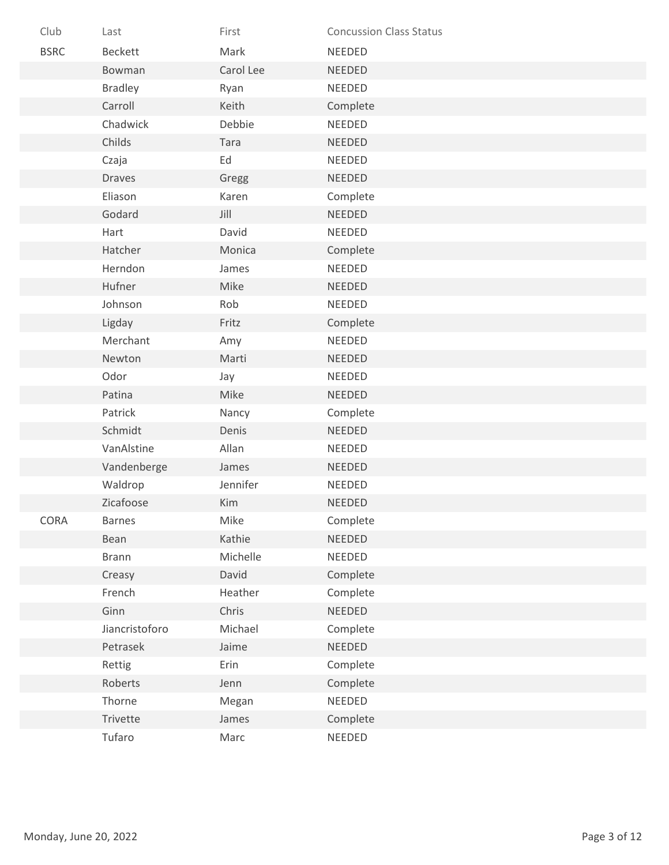| Club        | Last           | First     | <b>Concussion Class Status</b> |
|-------------|----------------|-----------|--------------------------------|
| <b>BSRC</b> | Beckett        | Mark      | <b>NEEDED</b>                  |
|             | Bowman         | Carol Lee | <b>NEEDED</b>                  |
|             | <b>Bradley</b> | Ryan      | NEEDED                         |
|             | Carroll        | Keith     | Complete                       |
|             | Chadwick       | Debbie    | <b>NEEDED</b>                  |
|             | Childs         | Tara      | <b>NEEDED</b>                  |
|             | Czaja          | Ed        | <b>NEEDED</b>                  |
|             | <b>Draves</b>  | Gregg     | <b>NEEDED</b>                  |
|             | Eliason        | Karen     | Complete                       |
|             | Godard         | Jill      | <b>NEEDED</b>                  |
|             | Hart           | David     | NEEDED                         |
|             | Hatcher        | Monica    | Complete                       |
|             | Herndon        | James     | <b>NEEDED</b>                  |
|             | Hufner         | Mike      | <b>NEEDED</b>                  |
|             | Johnson        | Rob       | <b>NEEDED</b>                  |
|             | Ligday         | Fritz     | Complete                       |
|             | Merchant       | Amy       | NEEDED                         |
|             | Newton         | Marti     | <b>NEEDED</b>                  |
|             | Odor           | Jay       | <b>NEEDED</b>                  |
|             | Patina         | Mike      | NEEDED                         |
|             | Patrick        | Nancy     | Complete                       |
|             | Schmidt        | Denis     | NEEDED                         |
|             | VanAlstine     | Allan     | NEEDED                         |
|             | Vandenberge    | James     | <b>NEEDED</b>                  |
|             | Waldrop        | Jennifer  | <b>NEEDED</b>                  |
|             | Zicafoose      | Kim       | <b>NEEDED</b>                  |
| CORA        | <b>Barnes</b>  | Mike      | Complete                       |
|             | Bean           | Kathie    | <b>NEEDED</b>                  |
|             | <b>Brann</b>   | Michelle  | NEEDED                         |
|             | Creasy         | David     | Complete                       |
|             | French         | Heather   | Complete                       |
|             | Ginn           | Chris     | NEEDED                         |
|             | Jiancristoforo | Michael   | Complete                       |
|             | Petrasek       | Jaime     | NEEDED                         |
|             | Rettig         | Erin      | Complete                       |
|             | Roberts        | Jenn      | Complete                       |
|             | Thorne         | Megan     | NEEDED                         |
|             | Trivette       | James     | Complete                       |
|             | Tufaro         | Marc      | NEEDED                         |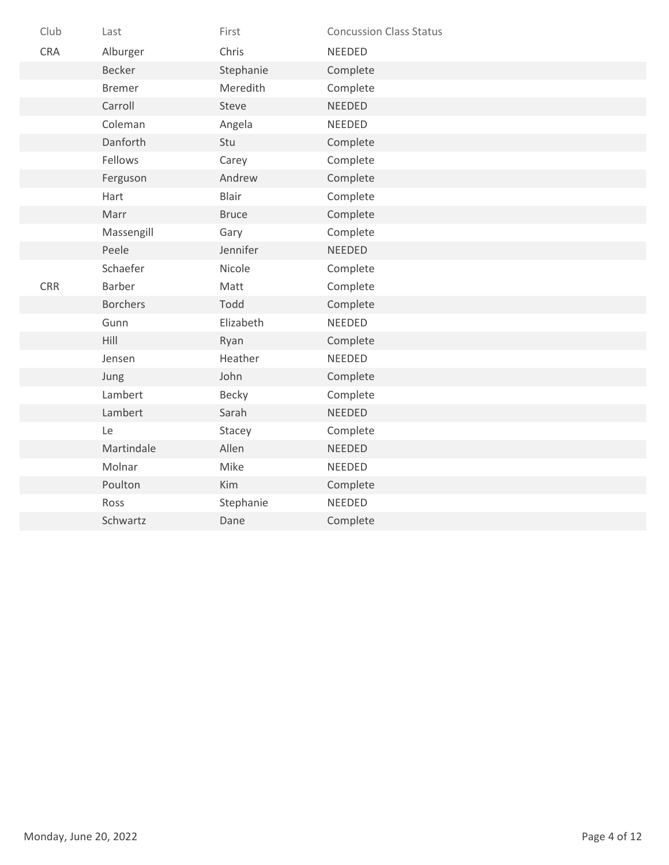| Club       | Last            | First        | <b>Concussion Class Status</b> |
|------------|-----------------|--------------|--------------------------------|
| <b>CRA</b> | Alburger        | Chris        | NEEDED                         |
|            | Becker          | Stephanie    | Complete                       |
|            | <b>Bremer</b>   | Meredith     | Complete                       |
|            | Carroll         | Steve        | <b>NEEDED</b>                  |
|            | Coleman         | Angela       | NEEDED                         |
|            | Danforth        | Stu          | Complete                       |
|            | Fellows         | Carey        | Complete                       |
|            | Ferguson        | Andrew       | Complete                       |
|            | Hart            | Blair        | Complete                       |
|            | Marr            | <b>Bruce</b> | Complete                       |
|            | Massengill      | Gary         | Complete                       |
|            | Peele           | Jennifer     | <b>NEEDED</b>                  |
|            | Schaefer        | Nicole       | Complete                       |
| <b>CRR</b> | Barber          | Matt         | Complete                       |
|            | <b>Borchers</b> | Todd         | Complete                       |
|            | Gunn            | Elizabeth    | NEEDED                         |
|            | Hill            | Ryan         | Complete                       |
|            | Jensen          | Heather      | NEEDED                         |
|            | Jung            | John         | Complete                       |
|            | Lambert         | Becky        | Complete                       |
|            | Lambert         | Sarah        | <b>NEEDED</b>                  |
|            | Le              | Stacey       | Complete                       |
|            | Martindale      | Allen        | NEEDED                         |
|            | Molnar          | Mike         | NEEDED                         |
|            | Poulton         | Kim          | Complete                       |
|            | Ross            | Stephanie    | NEEDED                         |
|            | Schwartz        | Dane         | Complete                       |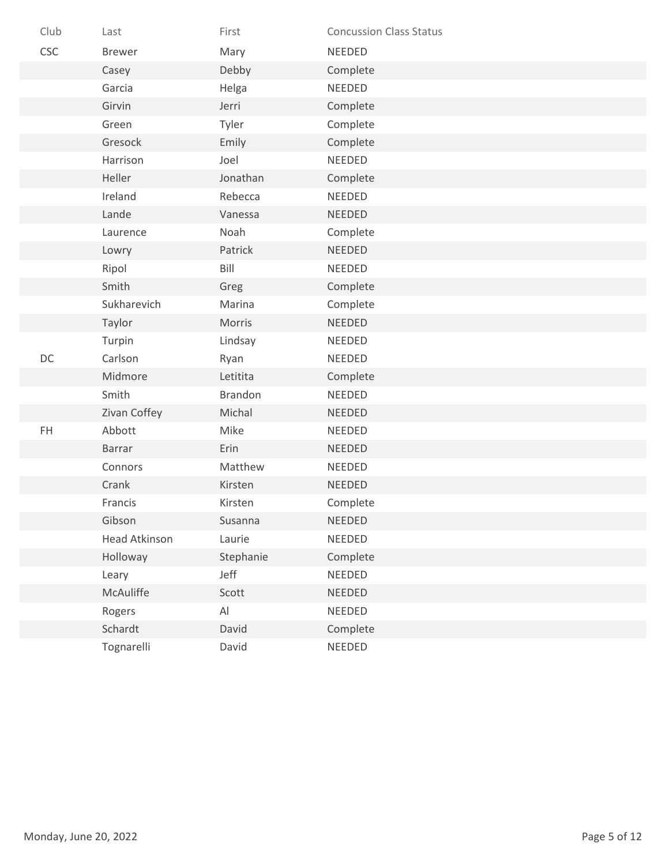| Club | Last          | First                        | <b>Concussion Class Status</b> |
|------|---------------|------------------------------|--------------------------------|
| CSC  | <b>Brewer</b> | Mary                         | NEEDED                         |
|      | Casey         | Debby                        | Complete                       |
|      | Garcia        | Helga                        | <b>NEEDED</b>                  |
|      | Girvin        | Jerri                        | Complete                       |
|      | Green         | Tyler                        | Complete                       |
|      | Gresock       | Emily                        | Complete                       |
|      | Harrison      | Joel                         | <b>NEEDED</b>                  |
|      | Heller        | Jonathan                     | Complete                       |
|      | Ireland       | Rebecca                      | NEEDED                         |
|      | Lande         | Vanessa                      | <b>NEEDED</b>                  |
|      | Laurence      | Noah                         | Complete                       |
|      | Lowry         | Patrick                      | <b>NEEDED</b>                  |
|      | Ripol         | Bill                         | NEEDED                         |
|      | Smith         | Greg                         | Complete                       |
|      | Sukharevich   | Marina                       | Complete                       |
|      | Taylor        | Morris                       | <b>NEEDED</b>                  |
|      | Turpin        | Lindsay                      | <b>NEEDED</b>                  |
| DC   | Carlson       | Ryan                         | NEEDED                         |
|      | Midmore       | Letitita                     | Complete                       |
|      | Smith         | Brandon                      | NEEDED                         |
|      | Zivan Coffey  | Michal                       | <b>NEEDED</b>                  |
| FH.  | Abbott        | Mike                         | <b>NEEDED</b>                  |
|      | <b>Barrar</b> | Erin                         | NEEDED                         |
|      | Connors       | Matthew                      | NEEDED                         |
|      | Crank         | Kirsten                      | NEEDED                         |
|      | Francis       | Kirsten                      | Complete                       |
|      | Gibson        | Susanna                      | <b>NEEDED</b>                  |
|      | Head Atkinson | Laurie                       | NEEDED                         |
|      | Holloway      | Stephanie                    | Complete                       |
|      | Leary         | Jeff                         | NEEDED                         |
|      | McAuliffe     | Scott                        | NEEDED                         |
|      | Rogers        | $\mathsf{Al}\hspace{0.04cm}$ | NEEDED                         |
|      | Schardt       | David                        | Complete                       |
|      | Tognarelli    | David                        | NEEDED                         |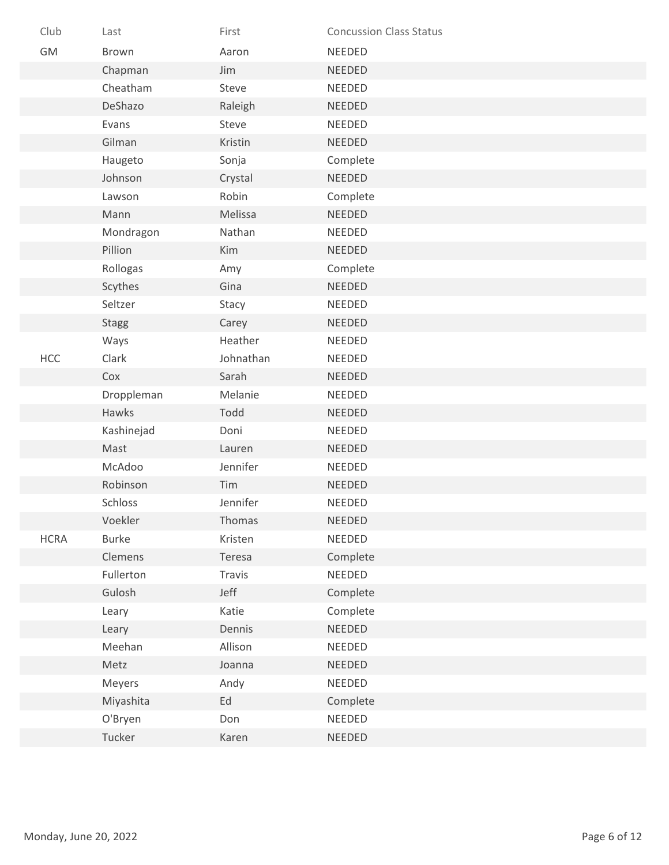| Club        | Last         | First     | <b>Concussion Class Status</b> |
|-------------|--------------|-----------|--------------------------------|
| GM          | Brown        | Aaron     | NEEDED                         |
|             | Chapman      | Jim       | <b>NEEDED</b>                  |
|             | Cheatham     | Steve     | NEEDED                         |
|             | DeShazo      | Raleigh   | <b>NEEDED</b>                  |
|             | Evans        | Steve     | NEEDED                         |
|             | Gilman       | Kristin   | NEEDED                         |
|             | Haugeto      | Sonja     | Complete                       |
|             | Johnson      | Crystal   | <b>NEEDED</b>                  |
|             | Lawson       | Robin     | Complete                       |
|             | Mann         | Melissa   | <b>NEEDED</b>                  |
|             | Mondragon    | Nathan    | NEEDED                         |
|             | Pillion      | Kim       | <b>NEEDED</b>                  |
|             | Rollogas     | Amy       | Complete                       |
|             | Scythes      | Gina      | <b>NEEDED</b>                  |
|             | Seltzer      | Stacy     | NEEDED                         |
|             | <b>Stagg</b> | Carey     | <b>NEEDED</b>                  |
|             | Ways         | Heather   | NEEDED                         |
| <b>HCC</b>  | Clark        | Johnathan | <b>NEEDED</b>                  |
|             | Cox          | Sarah     | NEEDED                         |
|             | Droppleman   | Melanie   | NEEDED                         |
|             | Hawks        | Todd      | <b>NEEDED</b>                  |
|             | Kashinejad   | Doni      | NEEDED                         |
|             | Mast         | Lauren    | <b>NEEDED</b>                  |
|             | McAdoo       | Jennifer  | NEEDED                         |
|             | Robinson     | Tim       | <b>NEEDED</b>                  |
|             | Schloss      | Jennifer  | <b>NEEDED</b>                  |
|             | Voekler      | Thomas    | NEEDED                         |
| <b>HCRA</b> | <b>Burke</b> | Kristen   | NEEDED                         |
|             | Clemens      | Teresa    | Complete                       |
|             | Fullerton    | Travis    | NEEDED                         |
|             | Gulosh       | Jeff      | Complete                       |
|             | Leary        | Katie     | Complete                       |
|             | Leary        | Dennis    | NEEDED                         |
|             | Meehan       | Allison   | NEEDED                         |
|             | Metz         | Joanna    | NEEDED                         |
|             | Meyers       | Andy      | <b>NEEDED</b>                  |
|             | Miyashita    | Ed        | Complete                       |
|             | O'Bryen      | Don       | NEEDED                         |
|             | Tucker       | Karen     | NEEDED                         |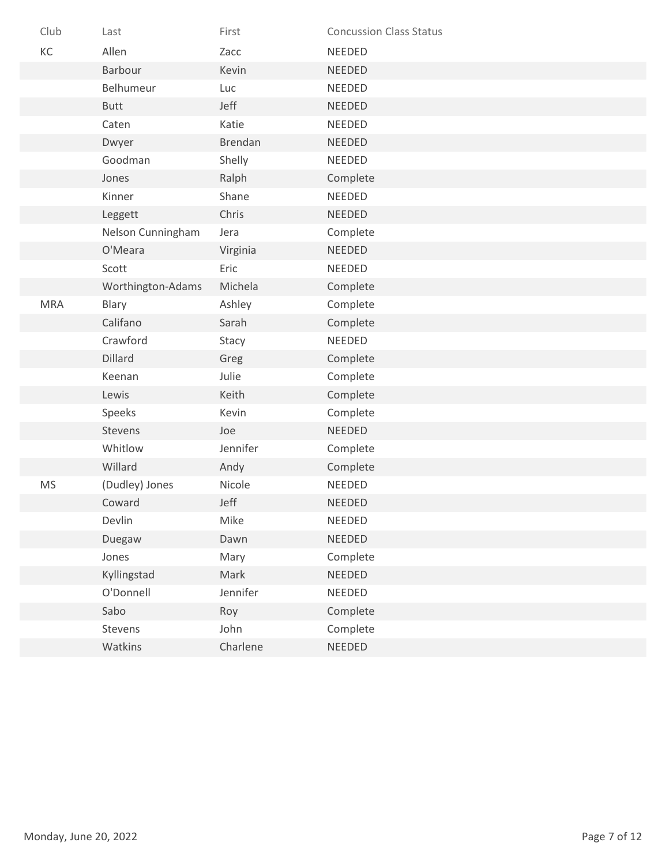| Club       | Last              | First    | <b>Concussion Class Status</b> |
|------------|-------------------|----------|--------------------------------|
| KC         | Allen             | Zacc     | <b>NEEDED</b>                  |
|            | Barbour           | Kevin    | <b>NEEDED</b>                  |
|            | Belhumeur         | Luc      | <b>NEEDED</b>                  |
|            | <b>Butt</b>       | Jeff     | <b>NEEDED</b>                  |
|            | Caten             | Katie    | NEEDED                         |
|            | Dwyer             | Brendan  | <b>NEEDED</b>                  |
|            | Goodman           | Shelly   | <b>NEEDED</b>                  |
|            | Jones             | Ralph    | Complete                       |
|            | Kinner            | Shane    | <b>NEEDED</b>                  |
|            | Leggett           | Chris    | NEEDED                         |
|            | Nelson Cunningham | Jera     | Complete                       |
|            | O'Meara           | Virginia | <b>NEEDED</b>                  |
|            | Scott             | Eric     | <b>NEEDED</b>                  |
|            | Worthington-Adams | Michela  | Complete                       |
| <b>MRA</b> | Blary             | Ashley   | Complete                       |
|            | Califano          | Sarah    | Complete                       |
|            | Crawford          | Stacy    | <b>NEEDED</b>                  |
|            | Dillard           | Greg     | Complete                       |
|            | Keenan            | Julie    | Complete                       |
|            | Lewis             | Keith    | Complete                       |
|            | Speeks            | Kevin    | Complete                       |
|            | Stevens           | Joe      | NEEDED                         |
|            | Whitlow           | Jennifer | Complete                       |
|            | Willard           | Andy     | Complete                       |
| <b>MS</b>  | (Dudley) Jones    | Nicole   | NEEDED                         |
|            | Coward            | Jeff     | <b>NEEDED</b>                  |
|            | Devlin            | Mike     | <b>NEEDED</b>                  |
|            | Duegaw            | Dawn     | NEEDED                         |
|            | Jones             | Mary     | Complete                       |
|            | Kyllingstad       | Mark     | NEEDED                         |
|            | O'Donnell         | Jennifer | NEEDED                         |
|            | Sabo              | Roy      | Complete                       |
|            | Stevens           | John     | Complete                       |
|            | Watkins           | Charlene | NEEDED                         |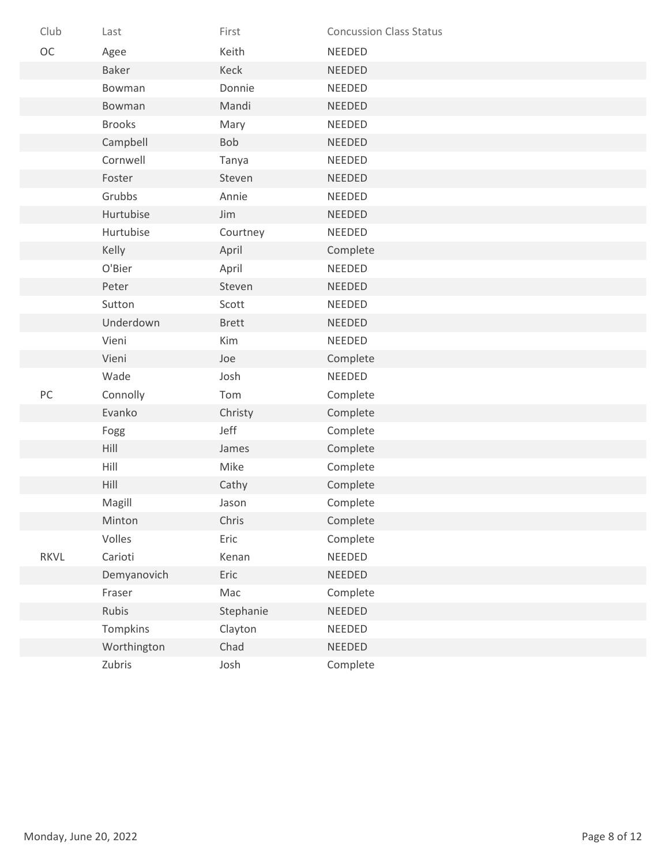| Club | Last          | First        | <b>Concussion Class Status</b> |
|------|---------------|--------------|--------------------------------|
| OC   | Agee          | Keith        | <b>NEEDED</b>                  |
|      | <b>Baker</b>  | Keck         | <b>NEEDED</b>                  |
|      | Bowman        | Donnie       | NEEDED                         |
|      | Bowman        | Mandi        | <b>NEEDED</b>                  |
|      | <b>Brooks</b> | Mary         | NEEDED                         |
|      | Campbell      | Bob          | <b>NEEDED</b>                  |
|      | Cornwell      | Tanya        | <b>NEEDED</b>                  |
|      | Foster        | Steven       | <b>NEEDED</b>                  |
|      | Grubbs        | Annie        | NEEDED                         |
|      | Hurtubise     | Jim          | <b>NEEDED</b>                  |
|      | Hurtubise     | Courtney     | NEEDED                         |
|      | Kelly         | April        | Complete                       |
|      | O'Bier        | April        | NEEDED                         |
|      | Peter         | Steven       | <b>NEEDED</b>                  |
|      | Sutton        | Scott        | <b>NEEDED</b>                  |
|      | Underdown     | <b>Brett</b> | <b>NEEDED</b>                  |
|      | Vieni         | Kim          | NEEDED                         |
|      | Vieni         | Joe          | Complete                       |
|      | Wade          | Josh         | NEEDED                         |
| $PC$ | Connolly      | Tom          | Complete                       |
|      | Evanko        | Christy      | Complete                       |
|      | Fogg          | Jeff         | Complete                       |
|      | Hill          | James        | Complete                       |
|      | Hill          | Mike         | Complete                       |
|      | Hill          | Cathy        | Complete                       |
|      | Magill        | Jason        | Complete                       |
|      | Minton        | Chris        | Complete                       |
|      | Volles        | Eric         | Complete                       |
| RKVL | Carioti       | Kenan        | NEEDED                         |
|      | Demyanovich   | Eric         | NEEDED                         |
|      | Fraser        | Mac          | Complete                       |
|      | Rubis         | Stephanie    | NEEDED                         |
|      | Tompkins      | Clayton      | NEEDED                         |
|      | Worthington   | Chad         | <b>NEEDED</b>                  |
|      | Zubris        | Josh         | Complete                       |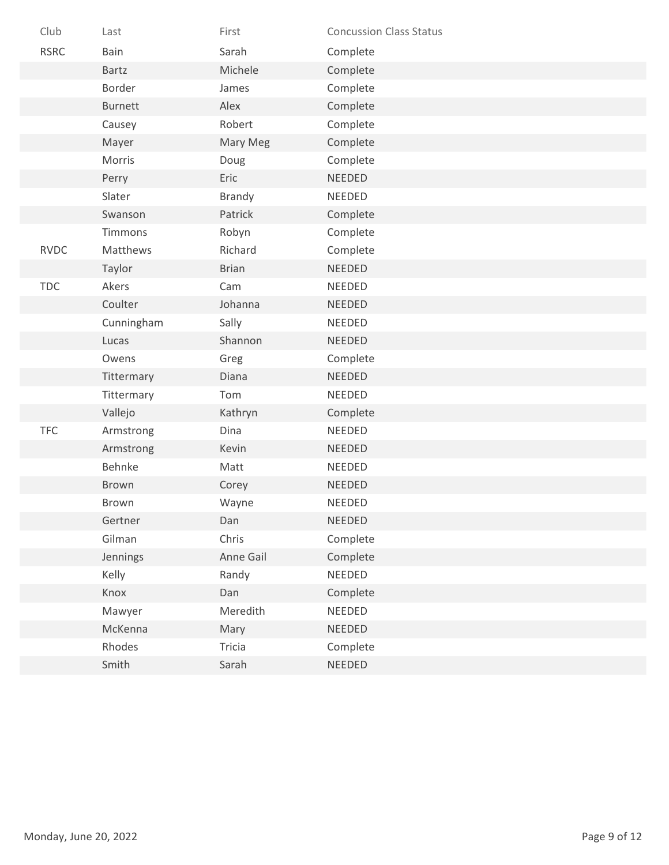| Club        | Last           | First         | <b>Concussion Class Status</b> |
|-------------|----------------|---------------|--------------------------------|
| <b>RSRC</b> | Bain           | Sarah         | Complete                       |
|             | Bartz          | Michele       | Complete                       |
|             | Border         | James         | Complete                       |
|             | <b>Burnett</b> | Alex          | Complete                       |
|             | Causey         | Robert        | Complete                       |
|             | Mayer          | Mary Meg      | Complete                       |
|             | Morris         | Doug          | Complete                       |
|             | Perry          | Eric          | <b>NEEDED</b>                  |
|             | Slater         | <b>Brandy</b> | <b>NEEDED</b>                  |
|             | Swanson        | Patrick       | Complete                       |
|             | Timmons        | Robyn         | Complete                       |
| <b>RVDC</b> | Matthews       | Richard       | Complete                       |
|             | Taylor         | <b>Brian</b>  | <b>NEEDED</b>                  |
| <b>TDC</b>  | Akers          | Cam           | NEEDED                         |
|             | Coulter        | Johanna       | <b>NEEDED</b>                  |
|             | Cunningham     | Sally         | <b>NEEDED</b>                  |
|             | Lucas          | Shannon       | <b>NEEDED</b>                  |
|             | Owens          | Greg          | Complete                       |
|             | Tittermary     | Diana         | <b>NEEDED</b>                  |
|             | Tittermary     | Tom           | <b>NEEDED</b>                  |
|             | Vallejo        | Kathryn       | Complete                       |
| <b>TFC</b>  | Armstrong      | Dina          | NEEDED                         |
|             | Armstrong      | Kevin         | <b>NEEDED</b>                  |
|             | Behnke         | Matt          | <b>NEEDED</b>                  |
|             | Brown          | Corey         | NEEDED                         |
|             | Brown          | Wayne         | NEEDED                         |
|             | Gertner        | Dan           | NEEDED                         |
|             | Gilman         | Chris         | Complete                       |
|             | Jennings       | Anne Gail     | Complete                       |
|             | Kelly          | Randy         | NEEDED                         |
|             | Knox           | Dan           | Complete                       |
|             | Mawyer         | Meredith      | NEEDED                         |
|             | McKenna        | Mary          | NEEDED                         |
|             | Rhodes         | Tricia        | Complete                       |
|             | Smith          | Sarah         | NEEDED                         |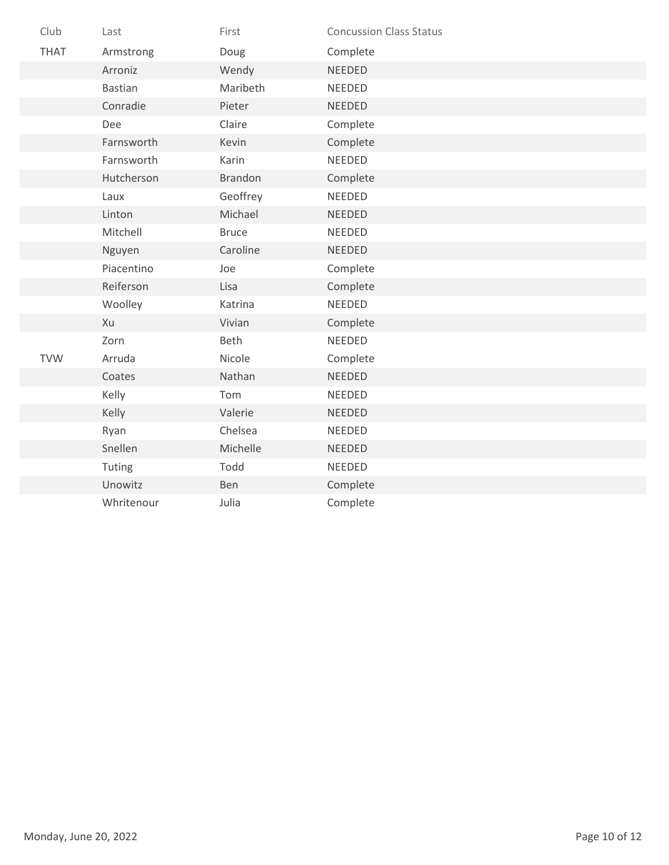| Club        | Last           | First          | <b>Concussion Class Status</b> |
|-------------|----------------|----------------|--------------------------------|
| <b>THAT</b> | Armstrong      | Doug           | Complete                       |
|             | Arroniz        | Wendy          | <b>NEEDED</b>                  |
|             | <b>Bastian</b> | Maribeth       | NEEDED                         |
|             | Conradie       | Pieter         | <b>NEEDED</b>                  |
|             | Dee            | Claire         | Complete                       |
|             | Farnsworth     | Kevin          | Complete                       |
|             | Farnsworth     | Karin          | <b>NEEDED</b>                  |
|             | Hutcherson     | <b>Brandon</b> | Complete                       |
|             | Laux           | Geoffrey       | NEEDED                         |
|             | Linton         | Michael        | <b>NEEDED</b>                  |
|             | Mitchell       | <b>Bruce</b>   | NEEDED                         |
|             | Nguyen         | Caroline       | <b>NEEDED</b>                  |
|             | Piacentino     | Joe            | Complete                       |
|             | Reiferson      | Lisa           | Complete                       |
|             | Woolley        | Katrina        | NEEDED                         |
|             | Xu             | Vivian         | Complete                       |
|             | Zorn           | Beth           | NEEDED                         |
| <b>TVW</b>  | Arruda         | Nicole         | Complete                       |
|             | Coates         | Nathan         | NEEDED                         |
|             | Kelly          | Tom            | NEEDED                         |
|             | Kelly          | Valerie        | <b>NEEDED</b>                  |
|             | Ryan           | Chelsea        | NEEDED                         |
|             | Snellen        | Michelle       | <b>NEEDED</b>                  |
|             | Tuting         | Todd           | NEEDED                         |
|             | Unowitz        | Ben            | Complete                       |
|             | Whritenour     | Julia          | Complete                       |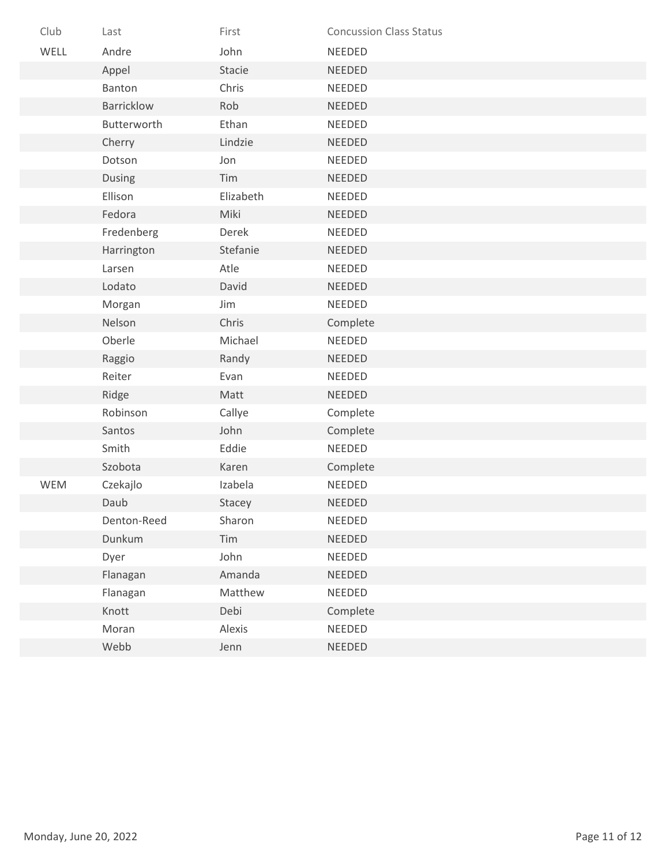| Club | Last              | First     | <b>Concussion Class Status</b> |
|------|-------------------|-----------|--------------------------------|
| WELL | Andre             | John      | NEEDED                         |
|      | Appel             | Stacie    | <b>NEEDED</b>                  |
|      | Banton            | Chris     | NEEDED                         |
|      | <b>Barricklow</b> | Rob       | <b>NEEDED</b>                  |
|      | Butterworth       | Ethan     | NEEDED                         |
|      | Cherry            | Lindzie   | NEEDED                         |
|      | Dotson            | Jon       | <b>NEEDED</b>                  |
|      | Dusing            | Tim       | <b>NEEDED</b>                  |
|      | Ellison           | Elizabeth | <b>NEEDED</b>                  |
|      | Fedora            | Miki      | NEEDED                         |
|      | Fredenberg        | Derek     | NEEDED                         |
|      | Harrington        | Stefanie  | <b>NEEDED</b>                  |
|      | Larsen            | Atle      | NEEDED                         |
|      | Lodato            | David     | <b>NEEDED</b>                  |
|      | Morgan            | Jim       | NEEDED                         |
|      | Nelson            | Chris     | Complete                       |
|      | Oberle            | Michael   | NEEDED                         |
|      | Raggio            | Randy     | NEEDED                         |
|      | Reiter            | Evan      | NEEDED                         |
|      | Ridge             | Matt      | <b>NEEDED</b>                  |
|      | Robinson          | Callye    | Complete                       |
|      | Santos            | John      | Complete                       |
|      | Smith             | Eddie     | NEEDED                         |
|      | Szobota           | Karen     | Complete                       |
| WEM  | Czekajlo          | Izabela   | NEEDED                         |
|      | Daub              | Stacey    | <b>NEEDED</b>                  |
|      | Denton-Reed       | Sharon    | <b>NEEDED</b>                  |
|      | Dunkum            | Tim       | NEEDED                         |
|      | Dyer              | John      | NEEDED                         |
|      | Flanagan          | Amanda    | <b>NEEDED</b>                  |
|      | Flanagan          | Matthew   | NEEDED                         |
|      | Knott             | Debi      | Complete                       |
|      | Moran             | Alexis    | NEEDED                         |
|      | Webb              | Jenn      | NEEDED                         |